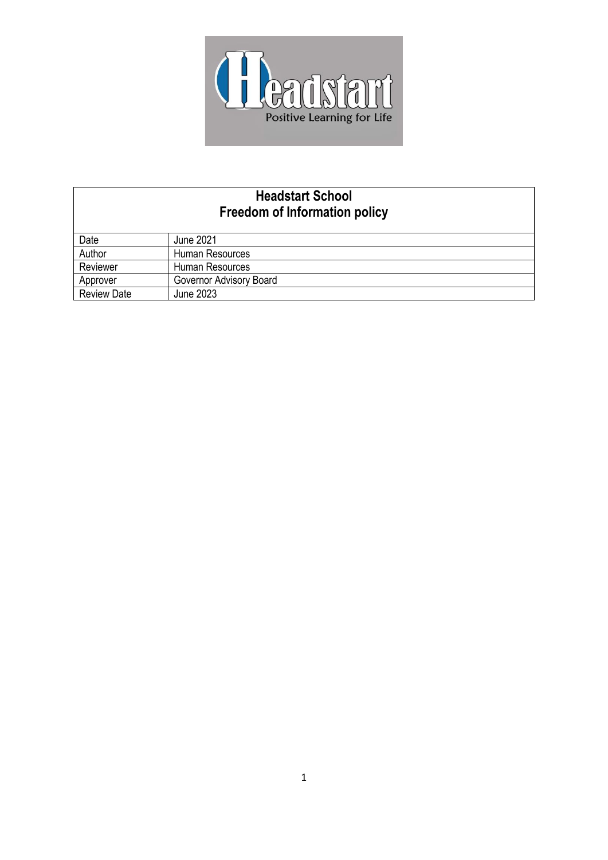

# **Headstart School Freedom of Information policy**

| Date               | June 2021               |
|--------------------|-------------------------|
| Author             | Human Resources         |
| Reviewer           | Human Resources         |
| Approver           | Governor Advisory Board |
| <b>Review Date</b> | June 2023               |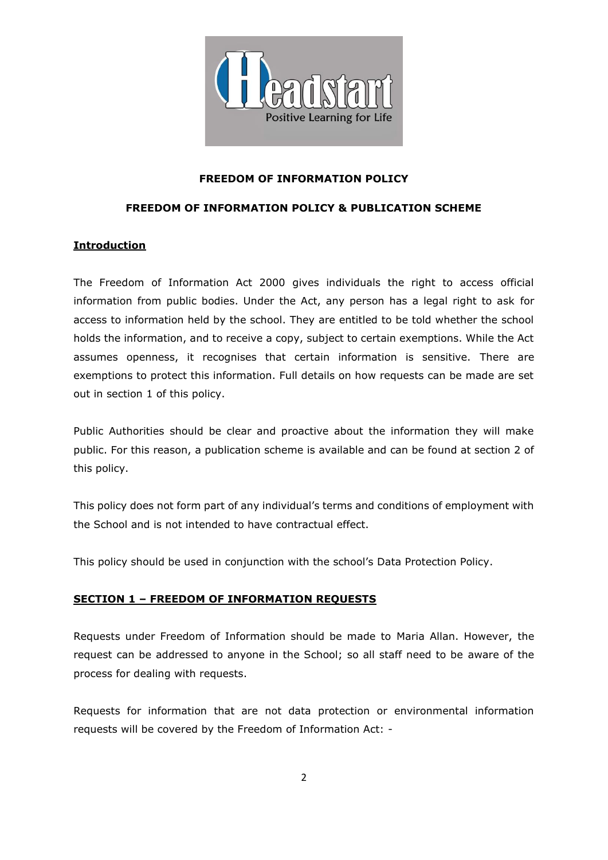

#### **FREEDOM OF INFORMATION POLICY**

#### **FREEDOM OF INFORMATION POLICY & PUBLICATION SCHEME**

#### **Introduction**

The Freedom of Information Act 2000 gives individuals the right to access official information from public bodies. Under the Act, any person has a legal right to ask for access to information held by the school. They are entitled to be told whether the school holds the information, and to receive a copy, subject to certain exemptions. While the Act assumes openness, it recognises that certain information is sensitive. There are exemptions to protect this information. Full details on how requests can be made are set out in section 1 of this policy.

Public Authorities should be clear and proactive about the information they will make public. For this reason, a publication scheme is available and can be found at section 2 of this policy.

This policy does not form part of any individual's terms and conditions of employment with the School and is not intended to have contractual effect.

This policy should be used in conjunction with the school's Data Protection Policy.

#### **SECTION 1 – FREEDOM OF INFORMATION REQUESTS**

Requests under Freedom of Information should be made to Maria Allan. However, the request can be addressed to anyone in the School; so all staff need to be aware of the process for dealing with requests.

Requests for information that are not data protection or environmental information requests will be covered by the Freedom of Information Act: -

2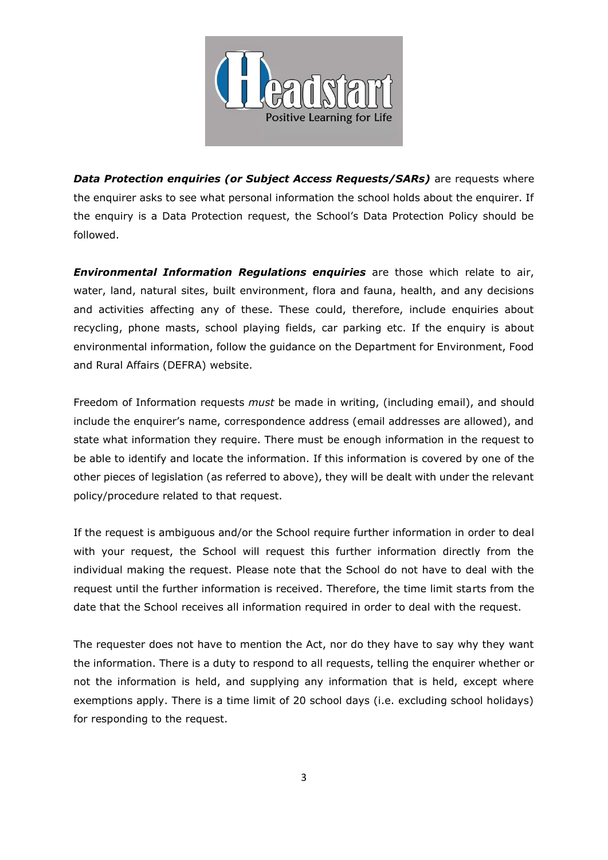

**Data Protection enquiries (or Subject Access Requests/SARs)** are requests where the enquirer asks to see what personal information the school holds about the enquirer. If the enquiry is a Data Protection request, the School's Data Protection Policy should be followed.

*Environmental Information Regulations enquiries* are those which relate to air, water, land, natural sites, built environment, flora and fauna, health, and any decisions and activities affecting any of these. These could, therefore, include enquiries about recycling, phone masts, school playing fields, car parking etc. If the enquiry is about environmental information, follow the guidance on the Department for Environment, Food and Rural Affairs (DEFRA) website.

Freedom of Information requests *must* be made in writing, (including email), and should include the enquirer's name, correspondence address (email addresses are allowed), and state what information they require. There must be enough information in the request to be able to identify and locate the information. If this information is covered by one of the other pieces of legislation (as referred to above), they will be dealt with under the relevant policy/procedure related to that request.

If the request is ambiguous and/or the School require further information in order to deal with your request, the School will request this further information directly from the individual making the request. Please note that the School do not have to deal with the request until the further information is received. Therefore, the time limit starts from the date that the School receives all information required in order to deal with the request.

The requester does not have to mention the Act, nor do they have to say why they want the information. There is a duty to respond to all requests, telling the enquirer whether or not the information is held, and supplying any information that is held, except where exemptions apply. There is a time limit of 20 school days (i.e. excluding school holidays) for responding to the request.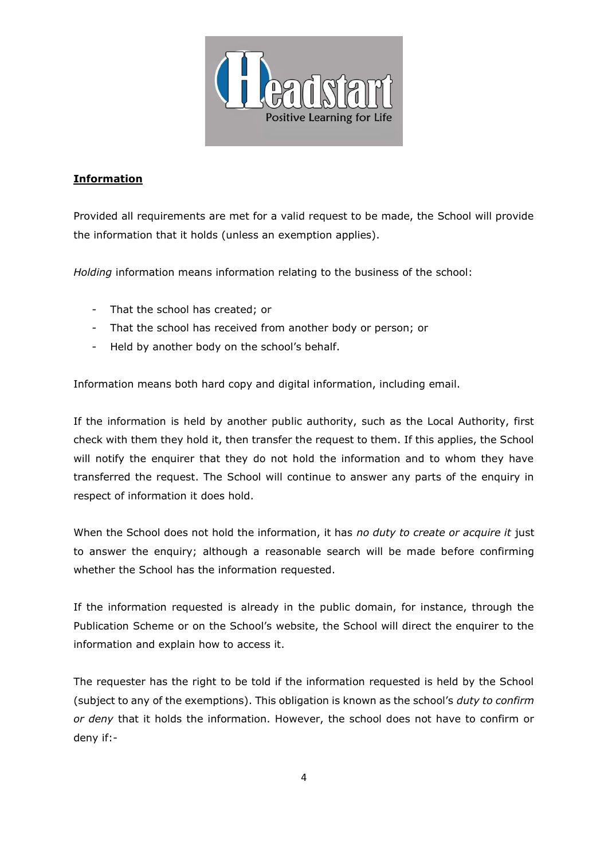

### **Information**

Provided all requirements are met for a valid request to be made, the School will provide the information that it holds (unless an exemption applies).

*Holding* information means information relating to the business of the school:

- That the school has created; or
- That the school has received from another body or person; or
- Held by another body on the school's behalf.

Information means both hard copy and digital information, including email.

If the information is held by another public authority, such as the Local Authority, first check with them they hold it, then transfer the request to them. If this applies, the School will notify the enquirer that they do not hold the information and to whom they have transferred the request. The School will continue to answer any parts of the enquiry in respect of information it does hold.

When the School does not hold the information, it has *no duty to create or acquire it* just to answer the enquiry; although a reasonable search will be made before confirming whether the School has the information requested.

If the information requested is already in the public domain, for instance, through the Publication Scheme or on the School's website, the School will direct the enquirer to the information and explain how to access it.

The requester has the right to be told if the information requested is held by the School (subject to any of the exemptions). This obligation is known as the school's *duty to confirm or deny* that it holds the information. However, the school does not have to confirm or deny if:-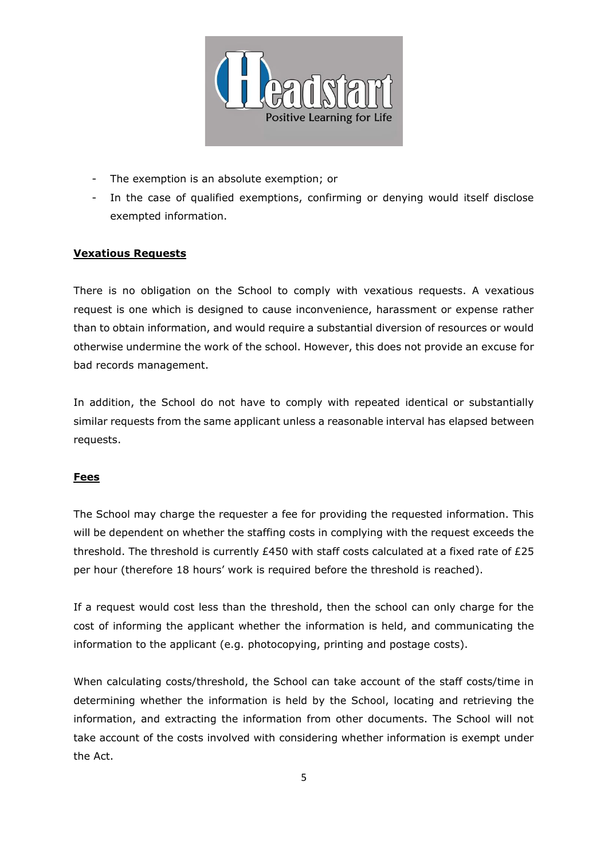

- The exemption is an absolute exemption; or
- In the case of qualified exemptions, confirming or denying would itself disclose exempted information.

#### **Vexatious Requests**

There is no obligation on the School to comply with vexatious requests. A vexatious request is one which is designed to cause inconvenience, harassment or expense rather than to obtain information, and would require a substantial diversion of resources or would otherwise undermine the work of the school. However, this does not provide an excuse for bad records management.

In addition, the School do not have to comply with repeated identical or substantially similar requests from the same applicant unless a reasonable interval has elapsed between requests.

#### **Fees**

The School may charge the requester a fee for providing the requested information. This will be dependent on whether the staffing costs in complying with the request exceeds the threshold. The threshold is currently £450 with staff costs calculated at a fixed rate of £25 per hour (therefore 18 hours' work is required before the threshold is reached).

If a request would cost less than the threshold, then the school can only charge for the cost of informing the applicant whether the information is held, and communicating the information to the applicant (e.g. photocopying, printing and postage costs).

When calculating costs/threshold, the School can take account of the staff costs/time in determining whether the information is held by the School, locating and retrieving the information, and extracting the information from other documents. The School will not take account of the costs involved with considering whether information is exempt under the Act.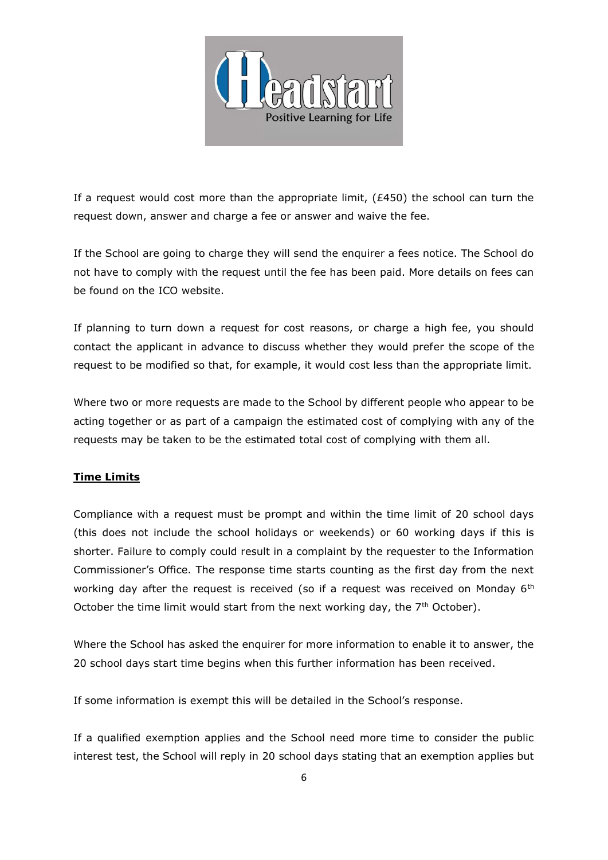

If a request would cost more than the appropriate limit,  $(E450)$  the school can turn the request down, answer and charge a fee or answer and waive the fee.

If the School are going to charge they will send the enquirer a fees notice. The School do not have to comply with the request until the fee has been paid. More details on fees can be found on the ICO website.

If planning to turn down a request for cost reasons, or charge a high fee, you should contact the applicant in advance to discuss whether they would prefer the scope of the request to be modified so that, for example, it would cost less than the appropriate limit.

Where two or more requests are made to the School by different people who appear to be acting together or as part of a campaign the estimated cost of complying with any of the requests may be taken to be the estimated total cost of complying with them all.

### **Time Limits**

Compliance with a request must be prompt and within the time limit of 20 school days (this does not include the school holidays or weekends) or 60 working days if this is shorter. Failure to comply could result in a complaint by the requester to the Information Commissioner's Office. The response time starts counting as the first day from the next working day after the request is received (so if a request was received on Monday 6<sup>th</sup> October the time limit would start from the next working day, the  $7<sup>th</sup>$  October).

Where the School has asked the enquirer for more information to enable it to answer, the 20 school days start time begins when this further information has been received.

If some information is exempt this will be detailed in the School's response.

If a qualified exemption applies and the School need more time to consider the public interest test, the School will reply in 20 school days stating that an exemption applies but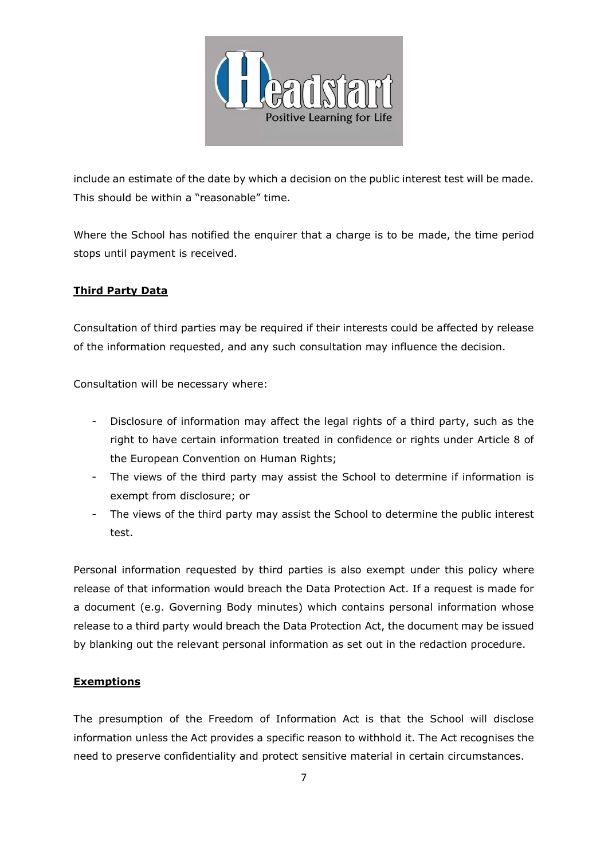

include an estimate of the date by which a decision on the public interest test will be made. This should be within a "reasonable" time.

Where the School has notified the enquirer that a charge is to be made, the time period stops until payment is received.

### **Third Party Data**

Consultation of third parties may be required if their interests could be affected by release of the information requested, and any such consultation may influence the decision.

Consultation will be necessary where:

- Disclosure of information may affect the legal rights of a third party, such as the right to have certain information treated in confidence or rights under Article 8 of the European Convention on Human Rights;
- The views of the third party may assist the School to determine if information is exempt from disclosure; or
- The views of the third party may assist the School to determine the public interest test.

Personal information requested by third parties is also exempt under this policy where release of that information would breach the Data Protection Act. If a request is made for a document (e.g. Governing Body minutes) which contains personal information whose release to a third party would breach the Data Protection Act, the document may be issued by blanking out the relevant personal information as set out in the redaction procedure.

### **Exemptions**

The presumption of the Freedom of Information Act is that the School will disclose information unless the Act provides a specific reason to withhold it. The Act recognises the need to preserve confidentiality and protect sensitive material in certain circumstances.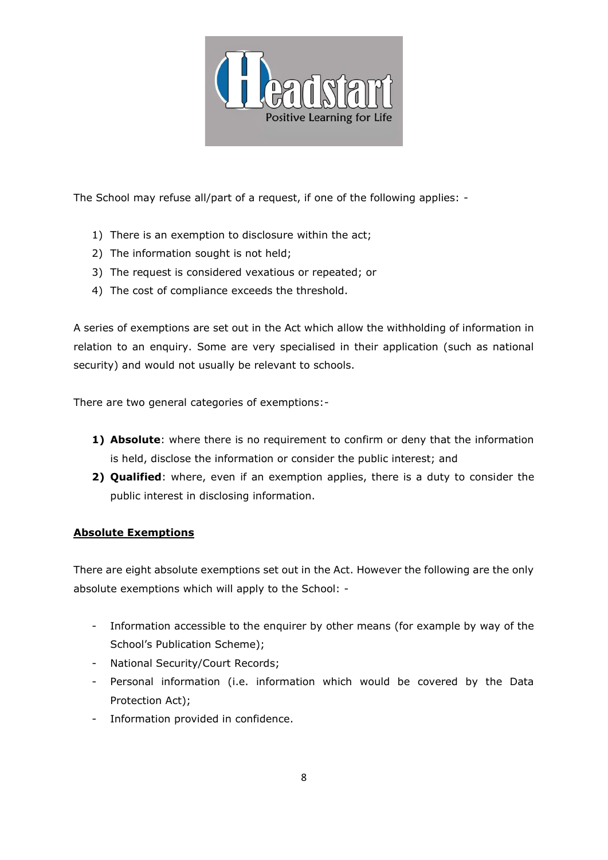

The School may refuse all/part of a request, if one of the following applies: -

- 1) There is an exemption to disclosure within the act;
- 2) The information sought is not held;
- 3) The request is considered vexatious or repeated; or
- 4) The cost of compliance exceeds the threshold.

A series of exemptions are set out in the Act which allow the withholding of information in relation to an enquiry. Some are very specialised in their application (such as national security) and would not usually be relevant to schools.

There are two general categories of exemptions:-

- **1) Absolute**: where there is no requirement to confirm or deny that the information is held, disclose the information or consider the public interest; and
- **2) Qualified**: where, even if an exemption applies, there is a duty to consider the public interest in disclosing information.

### **Absolute Exemptions**

There are eight absolute exemptions set out in the Act. However the following are the only absolute exemptions which will apply to the School: -

- Information accessible to the enquirer by other means (for example by way of the School's Publication Scheme);
- National Security/Court Records;
- Personal information (i.e. information which would be covered by the Data Protection Act);
- Information provided in confidence.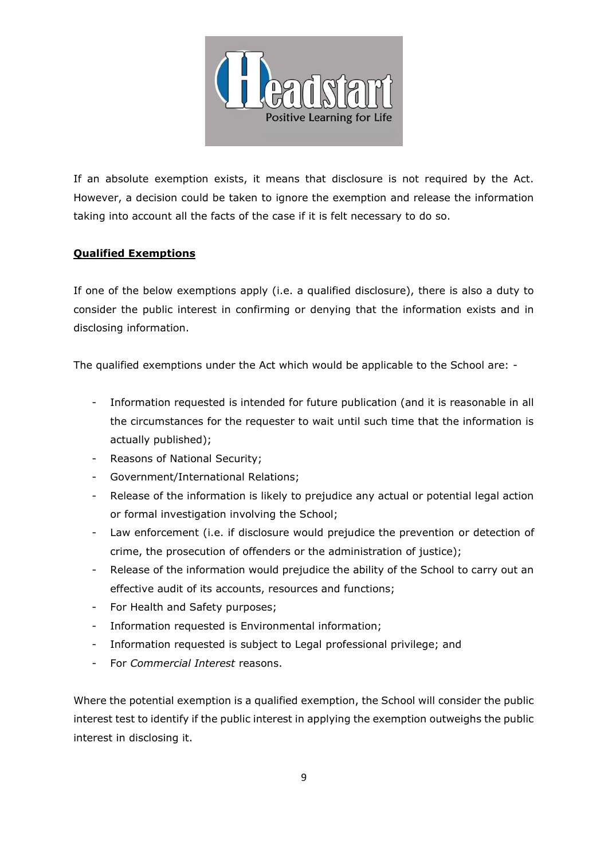

If an absolute exemption exists, it means that disclosure is not required by the Act. However, a decision could be taken to ignore the exemption and release the information taking into account all the facts of the case if it is felt necessary to do so.

### **Qualified Exemptions**

If one of the below exemptions apply (i.e. a qualified disclosure), there is also a duty to consider the public interest in confirming or denying that the information exists and in disclosing information.

The qualified exemptions under the Act which would be applicable to the School are: -

- Information requested is intended for future publication (and it is reasonable in all the circumstances for the requester to wait until such time that the information is actually published);
- Reasons of National Security;
- Government/International Relations;
- Release of the information is likely to prejudice any actual or potential legal action or formal investigation involving the School;
- Law enforcement (i.e. if disclosure would prejudice the prevention or detection of crime, the prosecution of offenders or the administration of justice);
- Release of the information would prejudice the ability of the School to carry out an effective audit of its accounts, resources and functions;
- For Health and Safety purposes;
- Information requested is Environmental information;
- Information requested is subject to Legal professional privilege; and
- For *Commercial Interest* reasons.

Where the potential exemption is a qualified exemption, the School will consider the public interest test to identify if the public interest in applying the exemption outweighs the public interest in disclosing it.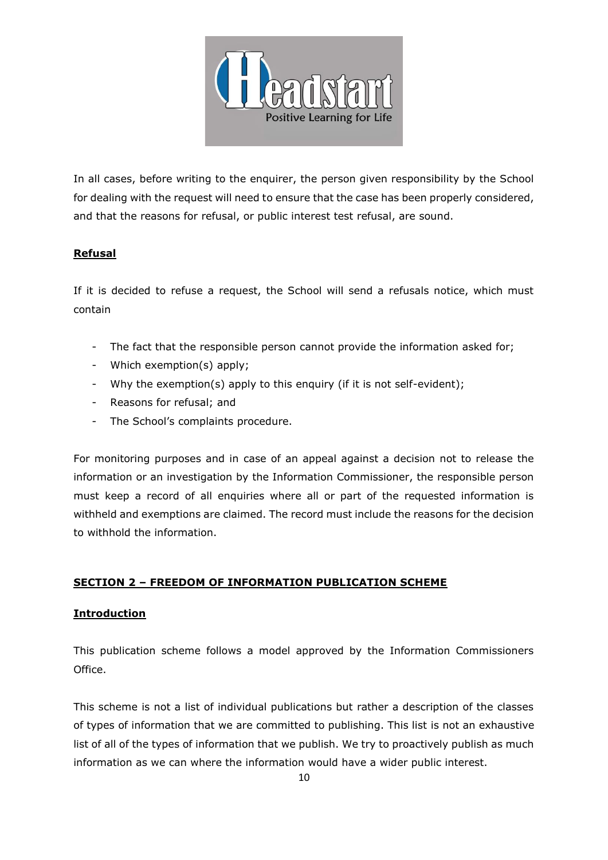

In all cases, before writing to the enquirer, the person given responsibility by the School for dealing with the request will need to ensure that the case has been properly considered, and that the reasons for refusal, or public interest test refusal, are sound.

### **Refusal**

If it is decided to refuse a request, the School will send a refusals notice, which must contain

- The fact that the responsible person cannot provide the information asked for;
- Which exemption(s) apply;
- Why the exemption(s) apply to this enquiry (if it is not self-evident);
- Reasons for refusal; and
- The School's complaints procedure.

For monitoring purposes and in case of an appeal against a decision not to release the information or an investigation by the Information Commissioner, the responsible person must keep a record of all enquiries where all or part of the requested information is withheld and exemptions are claimed. The record must include the reasons for the decision to withhold the information.

### **SECTION 2 – FREEDOM OF INFORMATION PUBLICATION SCHEME**

### **Introduction**

This publication scheme follows a model approved by the Information Commissioners Office.

This scheme is not a list of individual publications but rather a description of the classes of types of information that we are committed to publishing. This list is not an exhaustive list of all of the types of information that we publish. We try to proactively publish as much information as we can where the information would have a wider public interest.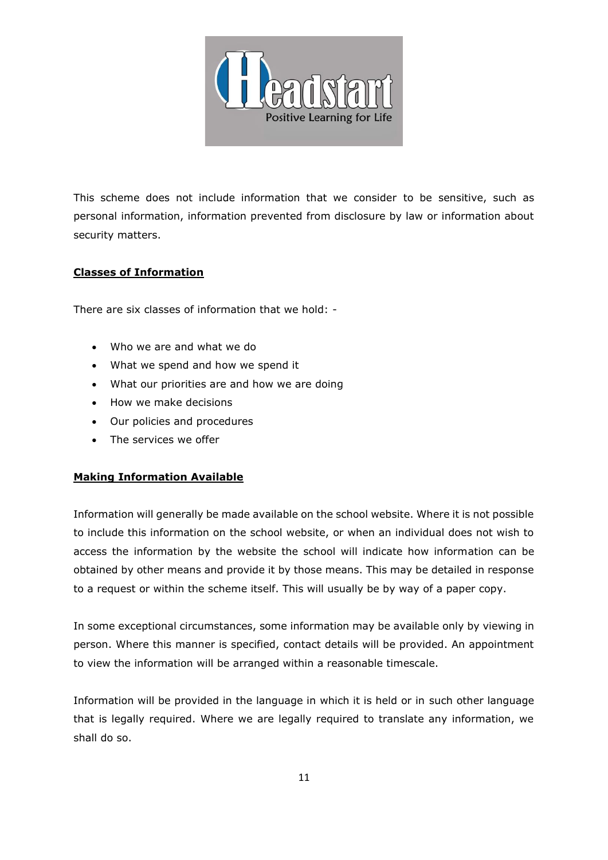

This scheme does not include information that we consider to be sensitive, such as personal information, information prevented from disclosure by law or information about security matters.

### **Classes of Information**

There are six classes of information that we hold: -

- Who we are and what we do
- What we spend and how we spend it
- What our priorities are and how we are doing
- How we make decisions
- Our policies and procedures
- The services we offer

#### **Making Information Available**

Information will generally be made available on the school website. Where it is not possible to include this information on the school website, or when an individual does not wish to access the information by the website the school will indicate how information can be obtained by other means and provide it by those means. This may be detailed in response to a request or within the scheme itself. This will usually be by way of a paper copy.

In some exceptional circumstances, some information may be available only by viewing in person. Where this manner is specified, contact details will be provided. An appointment to view the information will be arranged within a reasonable timescale.

Information will be provided in the language in which it is held or in such other language that is legally required. Where we are legally required to translate any information, we shall do so.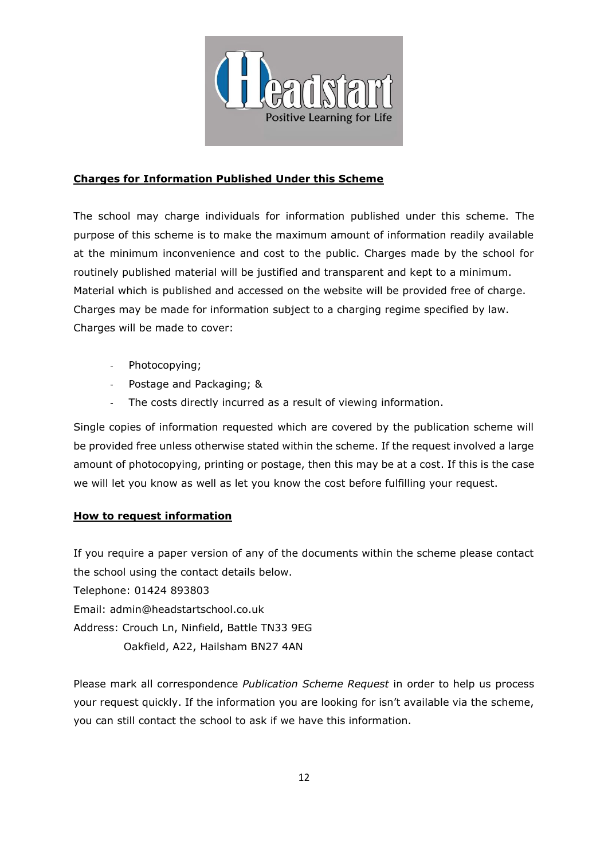

### **Charges for Information Published Under this Scheme**

The school may charge individuals for information published under this scheme. The purpose of this scheme is to make the maximum amount of information readily available at the minimum inconvenience and cost to the public. Charges made by the school for routinely published material will be justified and transparent and kept to a minimum. Material which is published and accessed on the website will be provided free of charge. Charges may be made for information subject to a charging regime specified by law. Charges will be made to cover:

- Photocopying;
- Postage and Packaging; &
- The costs directly incurred as a result of viewing information.

Single copies of information requested which are covered by the publication scheme will be provided free unless otherwise stated within the scheme. If the request involved a large amount of photocopying, printing or postage, then this may be at a cost. If this is the case we will let you know as well as let you know the cost before fulfilling your request.

### **How to request information**

If you require a paper version of any of the documents within the scheme please contact the school using the contact details below.

Telephone: 01424 893803

Email: admin@headstartschool.co.uk

Address: Crouch Ln, Ninfield, Battle TN33 9EG

Oakfield, A22, Hailsham BN27 4AN

Please mark all correspondence *Publication Scheme Request* in order to help us process your request quickly. If the information you are looking for isn't available via the scheme, you can still contact the school to ask if we have this information.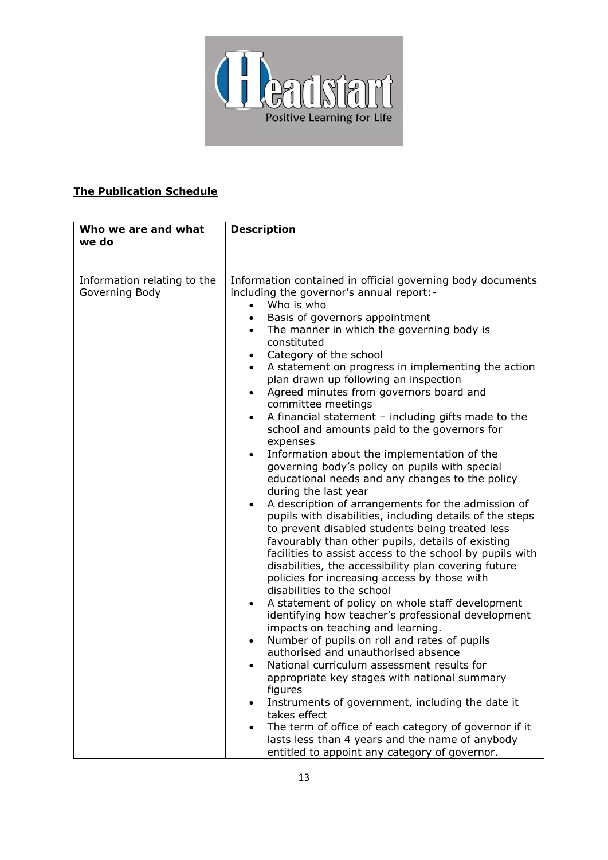

## **The Publication Schedule**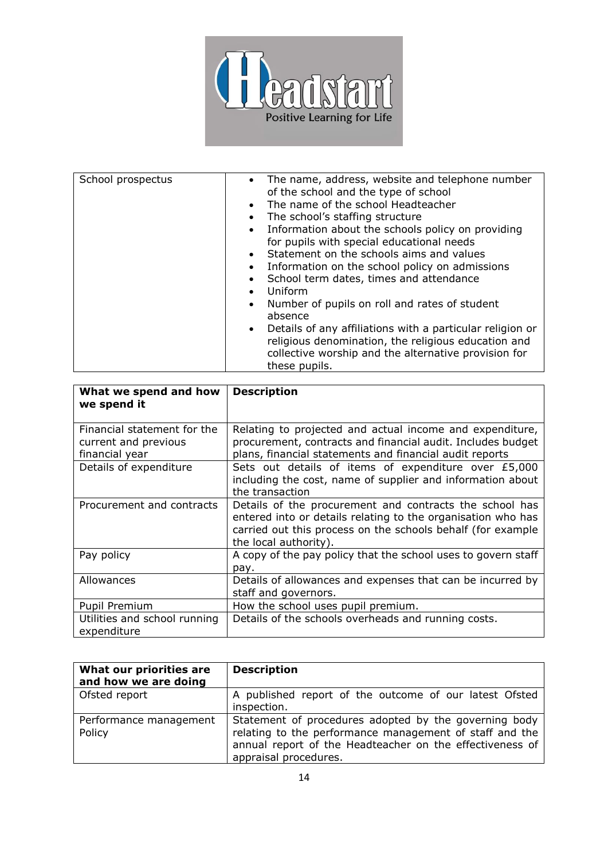

| School prospectus | The name, address, website and telephone number<br>$\bullet$<br>of the school and the type of school<br>The name of the school Headteacher<br>$\bullet$<br>The school's staffing structure<br>$\bullet$<br>Information about the schools policy on providing<br>$\bullet$<br>for pupils with special educational needs<br>Statement on the schools aims and values<br>$\bullet$<br>Information on the school policy on admissions<br>$\bullet$<br>School term dates, times and attendance<br>$\bullet$<br>Uniform<br>$\bullet$<br>Number of pupils on roll and rates of student<br>$\bullet$<br>absence<br>Details of any affiliations with a particular religion or<br>$\bullet$<br>religious denomination, the religious education and<br>collective worship and the alternative provision for<br>these pupils. |
|-------------------|-------------------------------------------------------------------------------------------------------------------------------------------------------------------------------------------------------------------------------------------------------------------------------------------------------------------------------------------------------------------------------------------------------------------------------------------------------------------------------------------------------------------------------------------------------------------------------------------------------------------------------------------------------------------------------------------------------------------------------------------------------------------------------------------------------------------|

| What we spend and how<br>we spend it                                  | <b>Description</b>                                                                                                                                                                                              |
|-----------------------------------------------------------------------|-----------------------------------------------------------------------------------------------------------------------------------------------------------------------------------------------------------------|
| Financial statement for the<br>current and previous<br>financial year | Relating to projected and actual income and expenditure,<br>procurement, contracts and financial audit. Includes budget<br>plans, financial statements and financial audit reports                              |
| Details of expenditure                                                | Sets out details of items of expenditure over £5,000<br>including the cost, name of supplier and information about<br>the transaction                                                                           |
| Procurement and contracts                                             | Details of the procurement and contracts the school has<br>entered into or details relating to the organisation who has<br>carried out this process on the schools behalf (for example<br>the local authority). |
| Pay policy                                                            | A copy of the pay policy that the school uses to govern staff<br>pay.                                                                                                                                           |
| Allowances                                                            | Details of allowances and expenses that can be incurred by<br>staff and governors.                                                                                                                              |
| Pupil Premium                                                         | How the school uses pupil premium.                                                                                                                                                                              |
| Utilities and school running<br>expenditure                           | Details of the schools overheads and running costs.                                                                                                                                                             |

| What our priorities are<br>and how we are doing | <b>Description</b>                                                                                                                                                                                    |
|-------------------------------------------------|-------------------------------------------------------------------------------------------------------------------------------------------------------------------------------------------------------|
| Ofsted report                                   | A published report of the outcome of our latest Ofsted<br>inspection.                                                                                                                                 |
| Performance management<br>Policy                | Statement of procedures adopted by the governing body<br>relating to the performance management of staff and the<br>annual report of the Headteacher on the effectiveness of<br>appraisal procedures. |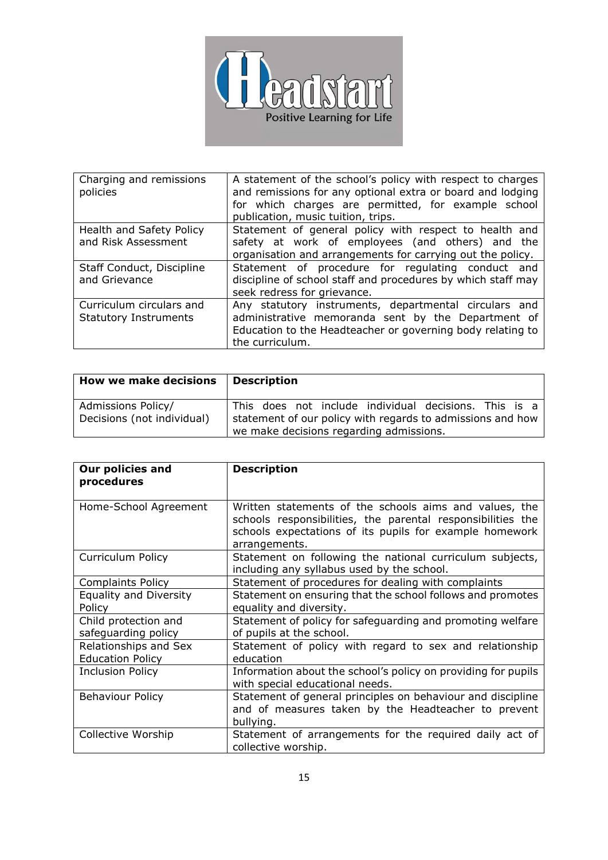

| Charging and remissions<br>policies                      | A statement of the school's policy with respect to charges<br>and remissions for any optional extra or board and lodging<br>for which charges are permitted, for example school<br>publication, music tuition, trips. |
|----------------------------------------------------------|-----------------------------------------------------------------------------------------------------------------------------------------------------------------------------------------------------------------------|
| Health and Safety Policy<br>and Risk Assessment          | Statement of general policy with respect to health and<br>safety at work of employees (and others) and the<br>organisation and arrangements for carrying out the policy.                                              |
| Staff Conduct, Discipline<br>and Grievance               | Statement of procedure for regulating conduct and<br>discipline of school staff and procedures by which staff may<br>seek redress for grievance.                                                                      |
| Curriculum circulars and<br><b>Statutory Instruments</b> | Any statutory instruments, departmental circulars and<br>administrative memoranda sent by the Department of<br>Education to the Headteacher or governing body relating to<br>the curriculum.                          |

| <b>How we make decisions</b>                     | <b>Description</b>                                                                                                                                             |
|--------------------------------------------------|----------------------------------------------------------------------------------------------------------------------------------------------------------------|
| Admissions Policy/<br>Decisions (not individual) | This does not include individual decisions. This is a<br>statement of our policy with regards to admissions and how<br>we make decisions regarding admissions. |

| <b>Our policies and</b><br>procedures | <b>Description</b>                                                                                                                                                                                |
|---------------------------------------|---------------------------------------------------------------------------------------------------------------------------------------------------------------------------------------------------|
|                                       |                                                                                                                                                                                                   |
| Home-School Agreement                 | Written statements of the schools aims and values, the<br>schools responsibilities, the parental responsibilities the<br>schools expectations of its pupils for example homework<br>arrangements. |
| Curriculum Policy                     | Statement on following the national curriculum subjects,<br>including any syllabus used by the school.                                                                                            |
| <b>Complaints Policy</b>              | Statement of procedures for dealing with complaints                                                                                                                                               |
| <b>Equality and Diversity</b>         | Statement on ensuring that the school follows and promotes                                                                                                                                        |
| Policy                                | equality and diversity.                                                                                                                                                                           |
| Child protection and                  | Statement of policy for safeguarding and promoting welfare                                                                                                                                        |
| safeguarding policy                   | of pupils at the school.                                                                                                                                                                          |
| Relationships and Sex                 | Statement of policy with regard to sex and relationship                                                                                                                                           |
| <b>Education Policy</b>               | education                                                                                                                                                                                         |
| <b>Inclusion Policy</b>               | Information about the school's policy on providing for pupils<br>with special educational needs.                                                                                                  |
| <b>Behaviour Policy</b>               | Statement of general principles on behaviour and discipline<br>and of measures taken by the Headteacher to prevent<br>bullying.                                                                   |
| Collective Worship                    | Statement of arrangements for the required daily act of<br>collective worship.                                                                                                                    |